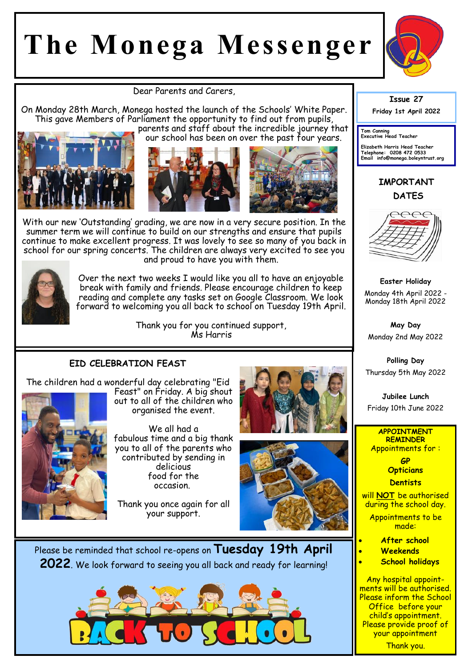# **The Monega Messenger**



Dear Parents and Carers,

On Monday 28th March, Monega hosted the launch of the Schools' White Paper. This gave Members of Parliament the opportunity to find out from pupils, parents and staff about the incredible journey that



our school has been on over the past four years.





With our new 'Outstanding' grading, we are now in a very secure position. In the summer term we will continue to build on our strengths and ensure that pupils continue to make excellent progress. It was lovely to see so many of you back in school for our spring concerts. The children are always very excited to see you and proud to have you with them.



Over the next two weeks I would like you all to have an enjoyable break with family and friends. Please encourage children to keep reading and complete any tasks set on Google Classroom. We look forward to welcoming you all back to school on Tuesday 19th April.

> Thank you for you continued support, Ms Harris

### **EID CELEBRATION FEAST**

The children had a wonderful day celebrating "Eid



Feast" on Friday. A big shout out to all of the children who organised the event.

We all had a fabulous time and a big thank you to all of the parents who contributed by sending in delicious food for the occasion.

Thank you once again for all your support.





Please be reminded that school re-opens on **Tuesday 19th April 2022**. We look forward to seeing you all back and ready for learning!



**Issue 27**

**Friday 1st April 2022** 

**Tom Canning Executive Head Teacher**

**Elizabeth Harris Head Teacher Telephone: 0208 472 0533 Email info@monega.boleyntrust.org** 

## **IMPORTANT DATES**



**Easter Holiday** Monday 4th April 2022 - Monday 18th April 2022

**May Day**  Monday 2nd May 2022

**Polling Day**  Thursday 5th May 2022

**Jubilee Lunch**  Friday 10th June 2022

#### **APPOINTMENT REMINDER** Appointments for :

**GP Opticians** 

**Dentists** 

will **NOT** be authorised during the school day.

Appointments to be made:

- **After school**
- **Weekends**
- **School holidays**

Any hospital appointments will be authorised. Please inform the School Office before your child's appointment. Please provide proof of your appointment Thank you.